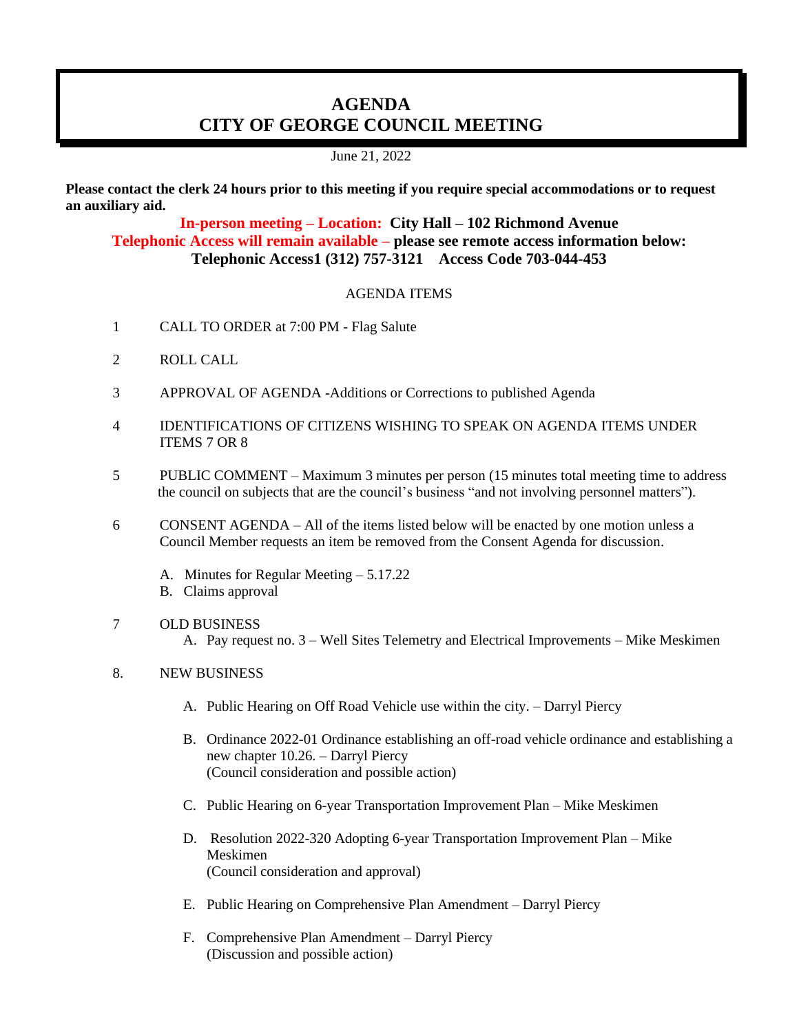## **AGENDA CITY OF GEORGE COUNCIL MEETING**

June 21, 2022

**Please contact the clerk 24 hours prior to this meeting if you require special accommodations or to request an auxiliary aid.**

**In-person meeting – Location: City Hall – 102 Richmond Avenue Telephonic Access will remain available – please see remote access information below: Telephonic Access1 (312) 757-3121 Access Code 703-044-453**

## AGENDA ITEMS

- 1 CALL TO ORDER at 7:00 PM Flag Salute
- 2 ROLL CALL
- 3 APPROVAL OF AGENDA -Additions or Corrections to published Agenda
- 4 IDENTIFICATIONS OF CITIZENS WISHING TO SPEAK ON AGENDA ITEMS UNDER ITEMS 7 OR 8
- 5 PUBLIC COMMENT Maximum 3 minutes per person (15 minutes total meeting time to address the council on subjects that are the council's business "and not involving personnel matters").
- 6 CONSENT AGENDA All of the items listed below will be enacted by one motion unless a Council Member requests an item be removed from the Consent Agenda for discussion.
	- A. Minutes for Regular Meeting 5.17.22
	- B. Claims approval
- 7 OLD BUSINESS
	- A. Pay request no. 3 Well Sites Telemetry and Electrical Improvements Mike Meskimen

## 8. NEW BUSINESS

- A. Public Hearing on Off Road Vehicle use within the city. Darryl Piercy
- B. Ordinance 2022-01 Ordinance establishing an off-road vehicle ordinance and establishing a new chapter 10.26. – Darryl Piercy (Council consideration and possible action)
- C. Public Hearing on 6-year Transportation Improvement Plan Mike Meskimen
- D. Resolution 2022-320 Adopting 6-year Transportation Improvement Plan Mike Meskimen (Council consideration and approval)
- E. Public Hearing on Comprehensive Plan Amendment Darryl Piercy
- F. Comprehensive Plan Amendment Darryl Piercy (Discussion and possible action)